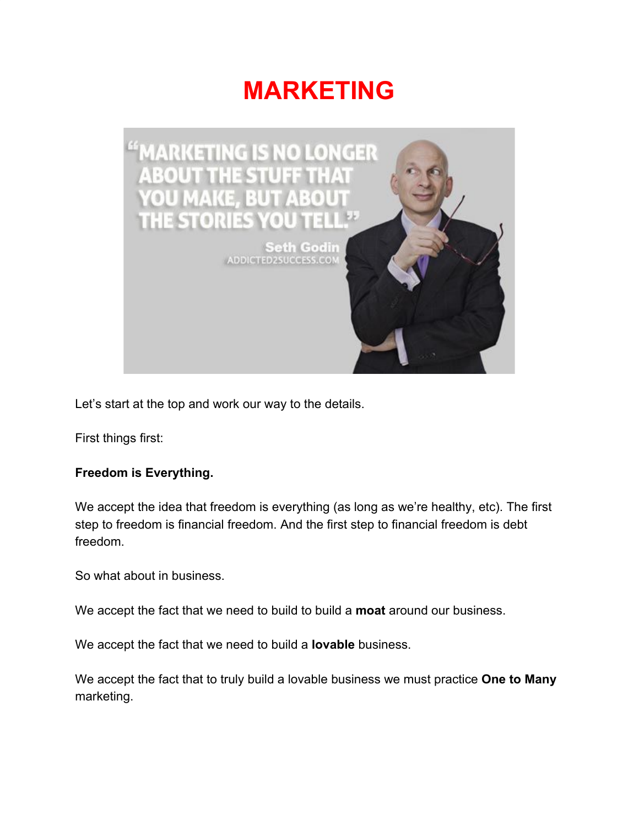# **MARKETING**



Let's start at the top and work our way to the details.

First things first:

## **Freedom is Everything.**

We accept the idea that freedom is everything (as long as we're healthy, etc). The first step to freedom is financial freedom. And the first step to financial freedom is debt freedom.

So what about in business.

We accept the fact that we need to build to build a **moat** around our business.

We accept the fact that we need to build a **lovable** business.

We accept the fact that to truly build a lovable business we must practice **One to Many** marketing.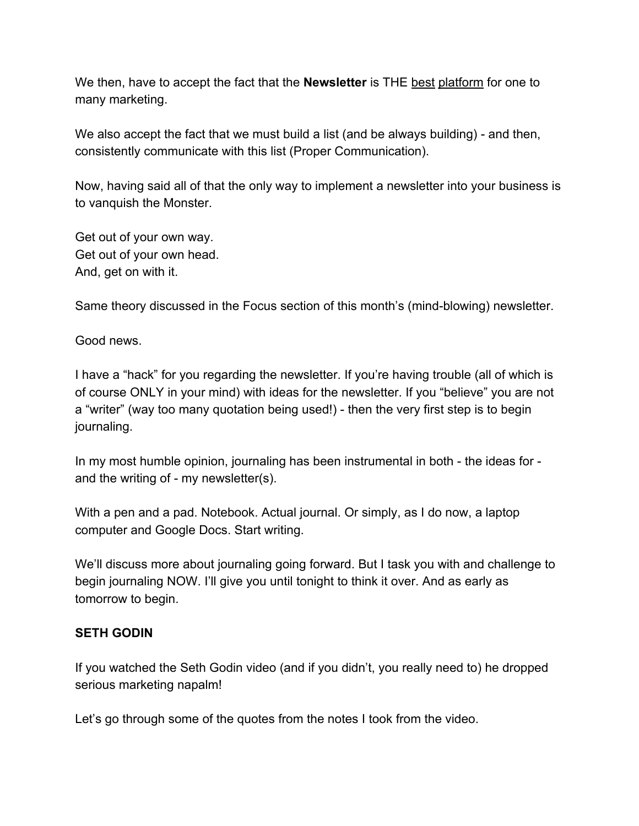We then, have to accept the fact that the **Newsletter** is THE best platform for one to many marketing.

We also accept the fact that we must build a list (and be always building) - and then, consistently communicate with this list (Proper Communication).

Now, having said all of that the only way to implement a newsletter into your business is to vanquish the Monster.

Get out of your own way. Get out of your own head. And, get on with it.

Same theory discussed in the Focus section of this month's (mind-blowing) newsletter.

Good news.

I have a "hack" for you regarding the newsletter. If you're having trouble (all of which is of course ONLY in your mind) with ideas for the newsletter. If you "believe" you are not a "writer" (way too many quotation being used!) - then the very first step is to begin journaling.

In my most humble opinion, journaling has been instrumental in both - the ideas for and the writing of - my newsletter(s).

With a pen and a pad. Notebook. Actual journal. Or simply, as I do now, a laptop computer and Google Docs. Start writing.

We'll discuss more about journaling going forward. But I task you with and challenge to begin journaling NOW. I'll give you until tonight to think it over. And as early as tomorrow to begin.

# **SETH GODIN**

If you watched the Seth Godin video (and if you didn't, you really need to) he dropped serious marketing napalm!

Let's go through some of the quotes from the notes I took from the video.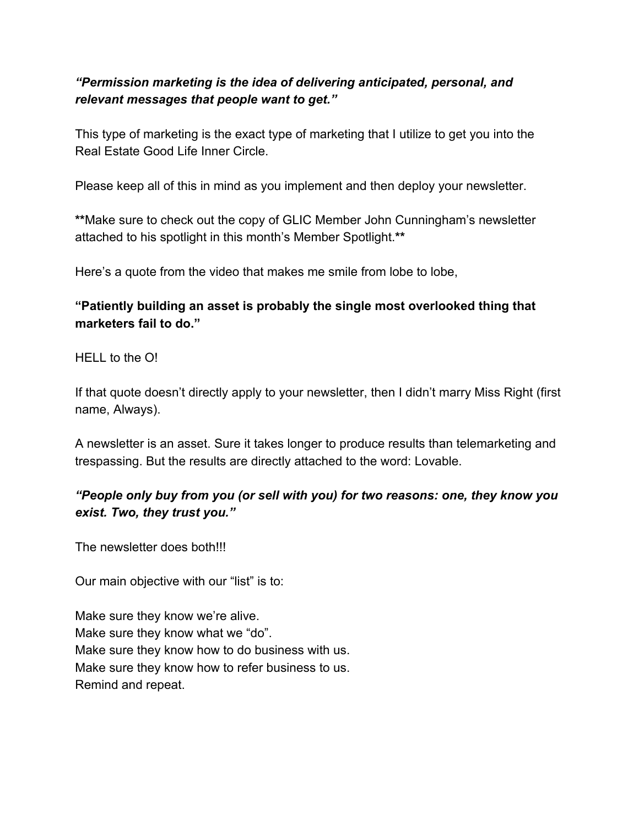# *"Permission marketing is the idea of delivering anticipated, personal, and relevant messages that people want to get."*

This type of marketing is the exact type of marketing that I utilize to get you into the Real Estate Good Life Inner Circle.

Please keep all of this in mind as you implement and then deploy your newsletter.

**\*\***Make sure to check out the copy of GLIC Member John Cunningham's newsletter attached to his spotlight in this month's Member Spotlight.**\*\***

Here's a quote from the video that makes me smile from lobe to lobe,

**"Patiently building an asset is probably the single most overlooked thing that marketers fail to do."**

HELL to the O!

If that quote doesn't directly apply to your newsletter, then I didn't marry Miss Right (first name, Always).

A newsletter is an asset. Sure it takes longer to produce results than telemarketing and trespassing. But the results are directly attached to the word: Lovable.

# *"People only buy from you (or sell with you) for two reasons: one, they know you exist. Two, they trust you."*

The newsletter does both!!!

Our main objective with our "list" is to:

Make sure they know we're alive. Make sure they know what we "do". Make sure they know how to do business with us. Make sure they know how to refer business to us. Remind and repeat.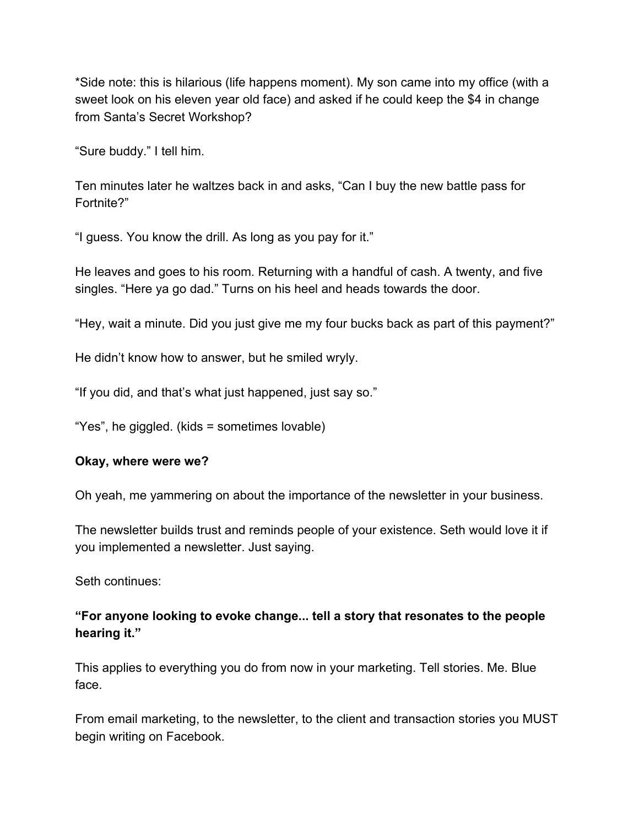\*Side note: this is hilarious (life happens moment). My son came into my office (with a sweet look on his eleven year old face) and asked if he could keep the \$4 in change from Santa's Secret Workshop?

"Sure buddy." I tell him.

Ten minutes later he waltzes back in and asks, "Can I buy the new battle pass for Fortnite?"

"I guess. You know the drill. As long as you pay for it."

He leaves and goes to his room. Returning with a handful of cash. A twenty, and five singles. "Here ya go dad." Turns on his heel and heads towards the door.

"Hey, wait a minute. Did you just give me my four bucks back as part of this payment?"

He didn't know how to answer, but he smiled wryly.

"If you did, and that's what just happened, just say so."

"Yes", he giggled. (kids = sometimes lovable)

#### **Okay, where were we?**

Oh yeah, me yammering on about the importance of the newsletter in your business.

The newsletter builds trust and reminds people of your existence. Seth would love it if you implemented a newsletter. Just saying.

Seth continues:

## **"For anyone looking to evoke change... tell a story that resonates to the people hearing it."**

This applies to everything you do from now in your marketing. Tell stories. Me. Blue face.

From email marketing, to the newsletter, to the client and transaction stories you MUST begin writing on Facebook.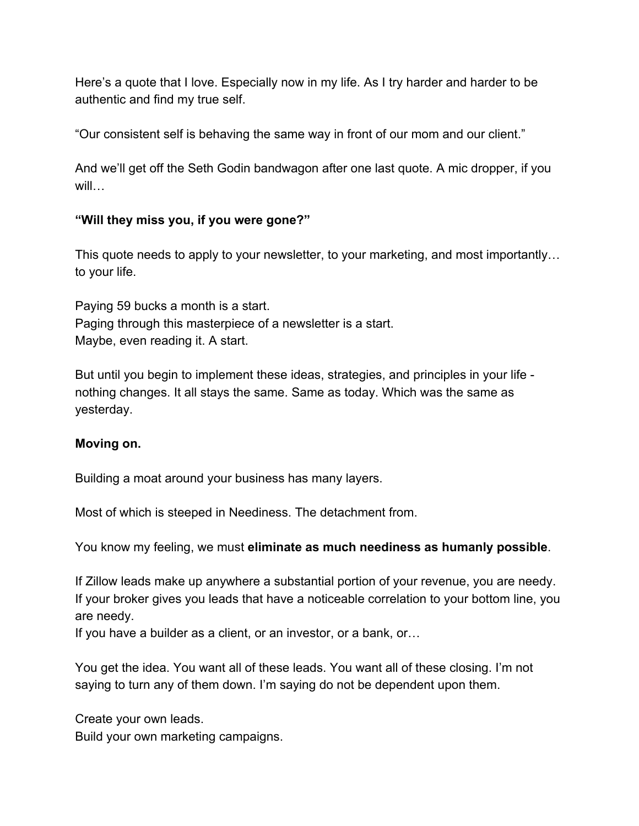Here's a quote that I love. Especially now in my life. As I try harder and harder to be authentic and find my true self.

"Our consistent self is behaving the same way in front of our mom and our client."

And we'll get off the Seth Godin bandwagon after one last quote. A mic dropper, if you will…

## **"Will they miss you, if you were gone?"**

This quote needs to apply to your newsletter, to your marketing, and most importantly… to your life.

Paying 59 bucks a month is a start. Paging through this masterpiece of a newsletter is a start. Maybe, even reading it. A start.

But until you begin to implement these ideas, strategies, and principles in your life nothing changes. It all stays the same. Same as today. Which was the same as yesterday.

#### **Moving on.**

Building a moat around your business has many layers.

Most of which is steeped in Neediness. The detachment from.

You know my feeling, we must **eliminate as much neediness as humanly possible**.

If Zillow leads make up anywhere a substantial portion of your revenue, you are needy. If your broker gives you leads that have a noticeable correlation to your bottom line, you are needy.

If you have a builder as a client, or an investor, or a bank, or…

You get the idea. You want all of these leads. You want all of these closing. I'm not saying to turn any of them down. I'm saying do not be dependent upon them.

Create your own leads. Build your own marketing campaigns.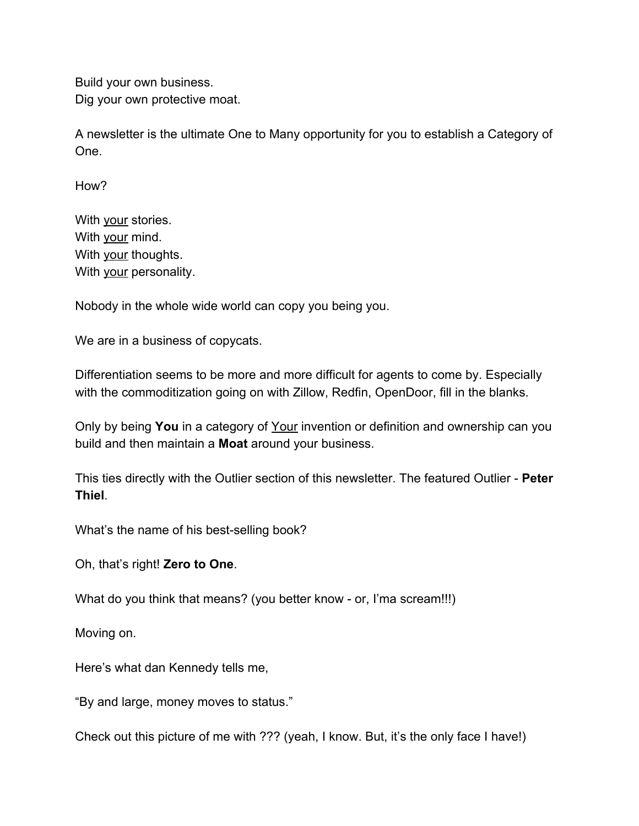Build your own business. Dig your own protective moat.

A newsletter is the ultimate One to Many opportunity for you to establish a Category of One.

How?

With your stories. With your mind. With your thoughts. With your personality.

Nobody in the whole wide world can copy you being you.

We are in a business of copycats.

Differentiation seems to be more and more difficult for agents to come by. Especially with the commoditization going on with Zillow, Redfin, OpenDoor, fill in the blanks.

Only by being **You** in a category of Your invention or definition and ownership can you build and then maintain a **Moat** around your business.

This ties directly with the Outlier section of this newsletter. The featured Outlier - **Peter Thiel**.

What's the name of his best-selling book?

Oh, that's right! **Zero to One**.

What do you think that means? (you better know - or, I'ma scream!!!)

Moving on.

Here's what dan Kennedy tells me,

"By and large, money moves to status."

Check out this picture of me with ??? (yeah, I know. But, it's the only face I have!)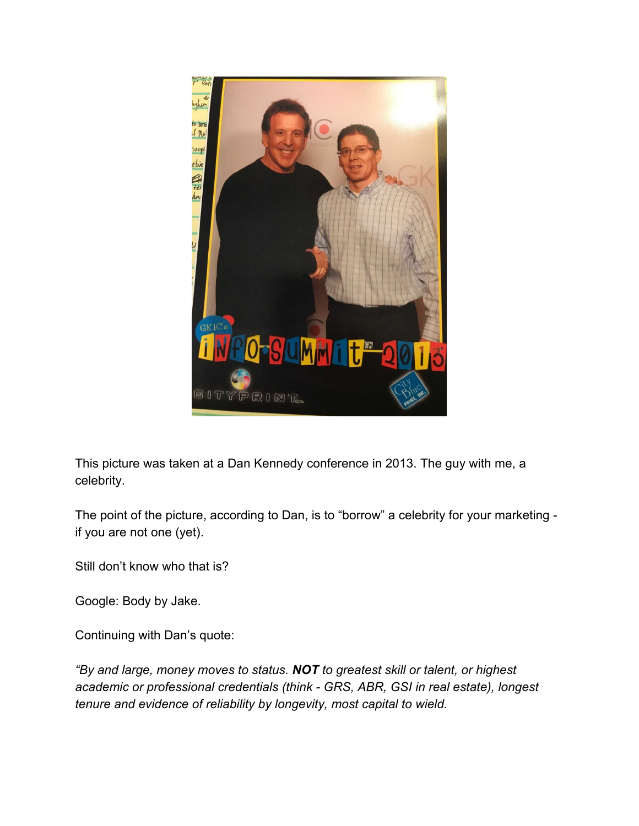

This picture was taken at a Dan Kennedy conference in 2013. The guy with me, a celebrity.

The point of the picture, according to Dan, is to "borrow" a celebrity for your marketing if you are not one (yet).

Still don't know who that is?

Google: Body by Jake.

Continuing with Dan's quote:

*"By and large, money moves to status. NOT to greatest skill or talent, or highest academic or professional credentials (think - GRS, ABR, GSI in real estate), longest tenure and evidence of reliability by longevity, most capital to wield.*